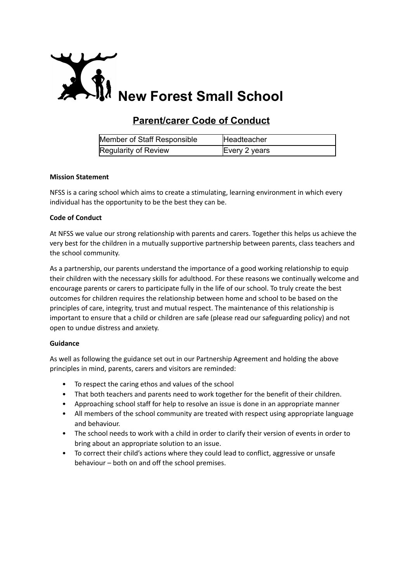

# **Parent/carer Code of Conduct**

| Member of Staff Responsible | Headteacher   |
|-----------------------------|---------------|
| Regularity of Review        | Every 2 years |

## **Mission Statement**

NFSS is a caring school which aims to create a stimulating, learning environment in which every individual has the opportunity to be the best they can be.

## **Code of Conduct**

At NFSS we value our strong relationship with parents and carers. Together this helps us achieve the very best for the children in a mutually supportive partnership between parents, class teachers and the school community.

As a partnership, our parents understand the importance of a good working relationship to equip their children with the necessary skills for adulthood. For these reasons we continually welcome and encourage parents or carers to participate fully in the life of our school. To truly create the best outcomes for children requires the relationship between home and school to be based on the principles of care, integrity, trust and mutual respect. The maintenance of this relationship is important to ensure that a child or children are safe (please read our safeguarding policy) and not open to undue distress and anxiety.

## **Guidance**

As well as following the guidance set out in our Partnership Agreement and holding the above principles in mind, parents, carers and visitors are reminded:

- To respect the caring ethos and values of the school
- That both teachers and parents need to work together for the benefit of their children.
- Approaching school staff for help to resolve an issue is done in an appropriate manner
- All members of the school community are treated with respect using appropriate language and behaviour.
- The school needs to work with a child in order to clarify their version of events in order to bring about an appropriate solution to an issue.
- To correct their child's actions where they could lead to conflict, aggressive or unsafe behaviour – both on and off the school premises.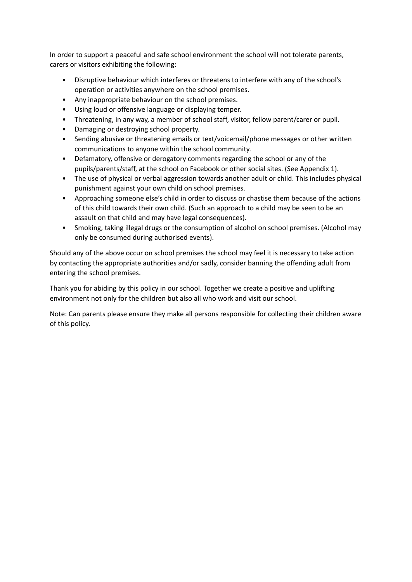In order to support a peaceful and safe school environment the school will not tolerate parents, carers or visitors exhibiting the following:

- Disruptive behaviour which interferes or threatens to interfere with any of the school's operation or activities anywhere on the school premises.
- Any inappropriate behaviour on the school premises.
- Using loud or offensive language or displaying temper.
- Threatening, in any way, a member of school staff, visitor, fellow parent/carer or pupil.
- Damaging or destroying school property.
- Sending abusive or threatening emails or text/voicemail/phone messages or other written communications to anyone within the school community.
- Defamatory, offensive or derogatory comments regarding the school or any of the pupils/parents/staff, at the school on Facebook or other social sites. (See Appendix 1).
- The use of physical or verbal aggression towards another adult or child. This includes physical punishment against your own child on school premises.
- Approaching someone else's child in order to discuss or chastise them because of the actions of this child towards their own child. (Such an approach to a child may be seen to be an assault on that child and may have legal consequences).
- Smoking, taking illegal drugs or the consumption of alcohol on school premises. (Alcohol may only be consumed during authorised events).

Should any of the above occur on school premises the school may feel it is necessary to take action by contacting the appropriate authorities and/or sadly, consider banning the offending adult from entering the school premises.

Thank you for abiding by this policy in our school. Together we create a positive and uplifting environment not only for the children but also all who work and visit our school.

Note: Can parents please ensure they make all persons responsible for collecting their children aware of this policy.